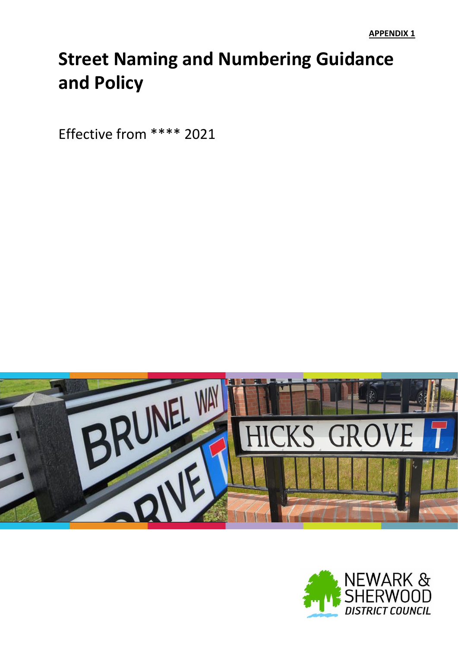# **Street Naming and Numbering Guidance and Policy**

Effective from \*\*\*\* 2021



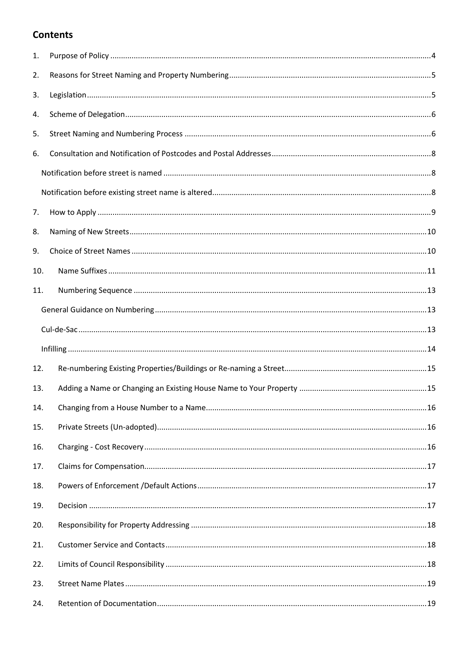## **Contents**

| 1.  |     |  |
|-----|-----|--|
| 2.  |     |  |
| 3.  |     |  |
| 4.  |     |  |
| 5.  |     |  |
| 6.  |     |  |
|     |     |  |
|     |     |  |
| 7.  |     |  |
| 8.  |     |  |
| 9.  |     |  |
| 10. |     |  |
| 11. |     |  |
|     |     |  |
|     |     |  |
|     |     |  |
| 12. |     |  |
| 13. |     |  |
| 14. |     |  |
| 15. |     |  |
| 16. |     |  |
| 17. |     |  |
| 18. |     |  |
| 19. |     |  |
| 20. |     |  |
| 21. |     |  |
| 22. |     |  |
| 23. |     |  |
|     | 24. |  |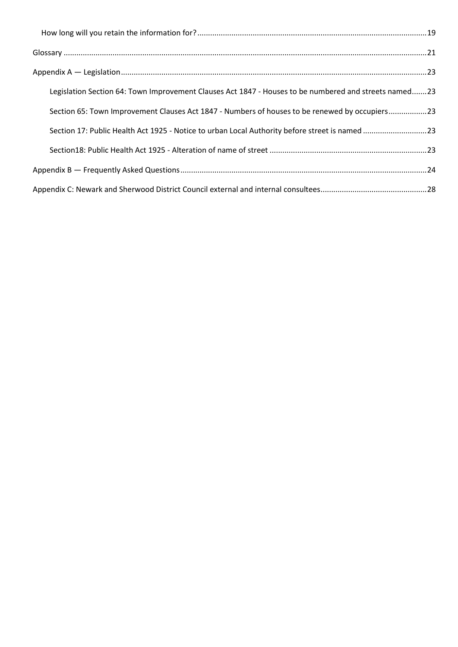| Legislation Section 64: Town Improvement Clauses Act 1847 - Houses to be numbered and streets named23 |  |
|-------------------------------------------------------------------------------------------------------|--|
| Section 65: Town Improvement Clauses Act 1847 - Numbers of houses to be renewed by occupiers23        |  |
| Section 17: Public Health Act 1925 - Notice to urban Local Authority before street is named 23        |  |
|                                                                                                       |  |
|                                                                                                       |  |
|                                                                                                       |  |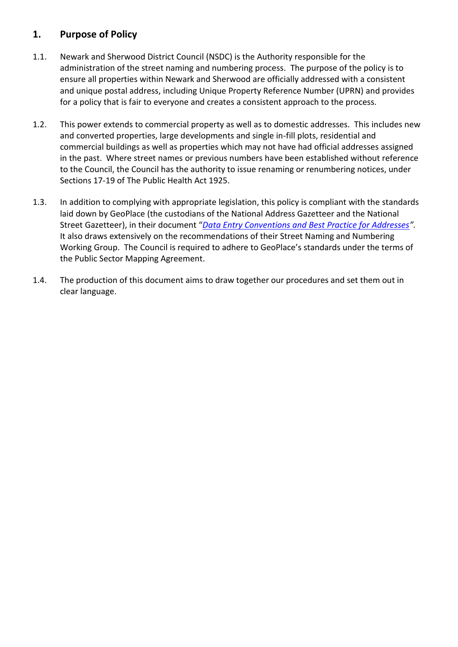## <span id="page-3-0"></span>**1. Purpose of Policy**

- 1.1. Newark and Sherwood District Council (NSDC) is the Authority responsible for the administration of the street naming and numbering process. The purpose of the policy is to ensure all properties within Newark and Sherwood are officially addressed with a consistent and unique postal address, including Unique Property Reference Number (UPRN) and provides for a policy that is fair to everyone and creates a consistent approach to the process.
- 1.2. This power extends to commercial property as well as to domestic addresses. This includes new and converted properties, large developments and single in-fill plots, residential and commercial buildings as well as properties which may not have had official addresses assigned in the past. Where street names or previous numbers have been established without reference to the Council, the Council has the authority to issue renaming or renumbering notices, under Sections 17-19 of The Public Health Act 1925.
- 1.3. In addition to complying with appropriate legislation, this policy is compliant with the standards laid down by GeoPlace (the custodians of the National Address Gazetteer and the National Street Gazetteer), in their document "*[Data Entry Conventions and Best Practice for Addresses](https://s3.eu-west-1.amazonaws.com/static.geoplace.co.uk/downloads/GeoPlace-Data-Entry-Conventions-Best-Practice-for-Addresses-V-3.4-2016.pdf)".*  It also draws extensively on the recommendations of their Street Naming and Numbering Working Group. The Council is required to adhere to GeoPlace's standards under the terms of the Public Sector Mapping Agreement.
- 1.4. The production of this document aims to draw together our procedures and set them out in clear language.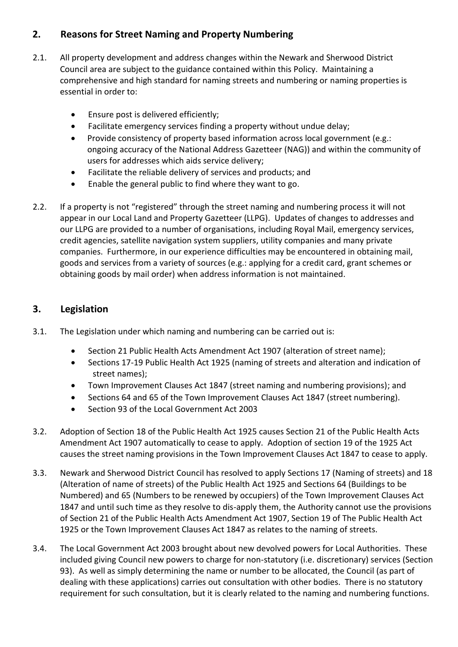## <span id="page-4-0"></span>**2. Reasons for Street Naming and Property Numbering**

- 2.1. All property development and address changes within the Newark and Sherwood District Council area are subject to the guidance contained within this Policy. Maintaining a comprehensive and high standard for naming streets and numbering or naming properties is essential in order to:
	- **•** Ensure post is delivered efficiently;
	- Facilitate emergency services finding a property without undue delay;
	- Provide consistency of property based information across local government (e.g.: ongoing accuracy of the National Address Gazetteer (NAG)) and within the community of users for addresses which aids service delivery;
	- Facilitate the reliable delivery of services and products; and
	- Enable the general public to find where they want to go.
- 2.2. If a property is not "registered" through the street naming and numbering process it will not appear in our Local Land and Property Gazetteer (LLPG). Updates of changes to addresses and our LLPG are provided to a number of organisations, including Royal Mail, emergency services, credit agencies, satellite navigation system suppliers, utility companies and many private companies. Furthermore, in our experience difficulties may be encountered in obtaining mail, goods and services from a variety of sources (e.g.: applying for a credit card, grant schemes or obtaining goods by mail order) when address information is not maintained.

## <span id="page-4-1"></span>**3. Legislation**

- 3.1. The Legislation under which naming and numbering can be carried out is:
	- Section 21 Public Health Acts Amendment Act 1907 (alteration of street name);
	- Sections 17-19 Public Health Act 1925 (naming of streets and alteration and indication of street names);
	- Town Improvement Clauses Act 1847 (street naming and numbering provisions); and
	- Sections 64 and 65 of the Town Improvement Clauses Act 1847 (street numbering).
	- Section 93 of the Local Government Act 2003
- 3.2. Adoption of Section 18 of the Public Health Act 1925 causes Section 21 of the Public Health Acts Amendment Act 1907 automatically to cease to apply. Adoption of section 19 of the 1925 Act causes the street naming provisions in the Town Improvement Clauses Act 1847 to cease to apply.
- 3.3. Newark and Sherwood District Council has resolved to apply Sections 17 (Naming of streets) and 18 (Alteration of name of streets) of the Public Health Act 1925 and Sections 64 (Buildings to be Numbered) and 65 (Numbers to be renewed by occupiers) of the Town Improvement Clauses Act 1847 and until such time as they resolve to dis-apply them, the Authority cannot use the provisions of Section 21 of the Public Health Acts Amendment Act 1907, Section 19 of The Public Health Act 1925 or the Town Improvement Clauses Act 1847 as relates to the naming of streets.
- 3.4. The Local Government Act 2003 brought about new devolved powers for Local Authorities. These included giving Council new powers to charge for non-statutory (i.e. discretionary) services (Section 93). As well as simply determining the name or number to be allocated, the Council (as part of dealing with these applications) carries out consultation with other bodies. There is no statutory requirement for such consultation, but it is clearly related to the naming and numbering functions.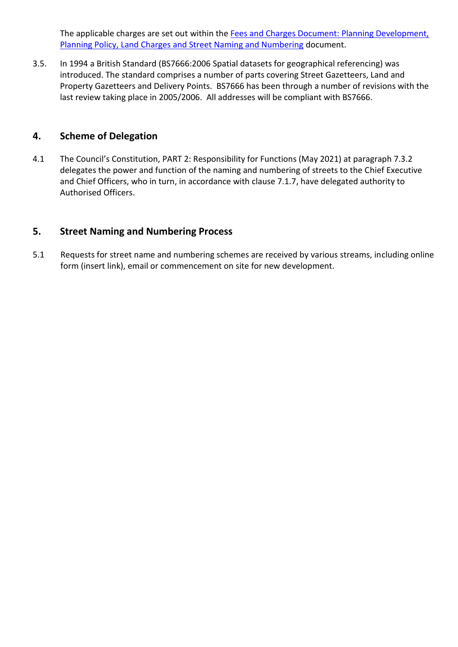The applicable charges are set out within the [Fees and Charges Document: Planning Development,](https://www.newark-sherwooddc.gov.uk/media/newarkandsherwood/imagesandfiles/planningpolicy/pdfs/fees%20and%20charges%20budget%202021-22.pdf)  [Planning Policy, Land Charges and Street Naming and Numbering](https://www.newark-sherwooddc.gov.uk/media/newarkandsherwood/imagesandfiles/planningpolicy/pdfs/fees%20and%20charges%20budget%202021-22.pdf) document.

3.5. In 1994 a British Standard (BS7666:2006 Spatial datasets for geographical referencing) was introduced. The standard comprises a number of parts covering Street Gazetteers, Land and Property Gazetteers and Delivery Points. BS7666 has been through a number of revisions with the last review taking place in 2005/2006. All addresses will be compliant with BS7666.

#### <span id="page-5-0"></span>**4. Scheme of Delegation**

4.1 The Council's Constitution, PART 2: Responsibility for Functions (May 2021) at paragraph 7.3.2 delegates the power and function of the naming and numbering of streets to the Chief Executive and Chief Officers, who in turn, in accordance with clause 7.1.7, have delegated authority to Authorised Officers.

#### <span id="page-5-1"></span>**5. Street Naming and Numbering Process**

5.1 Requests for street name and numbering schemes are received by various streams, including online form (insert link), email or commencement on site for new development.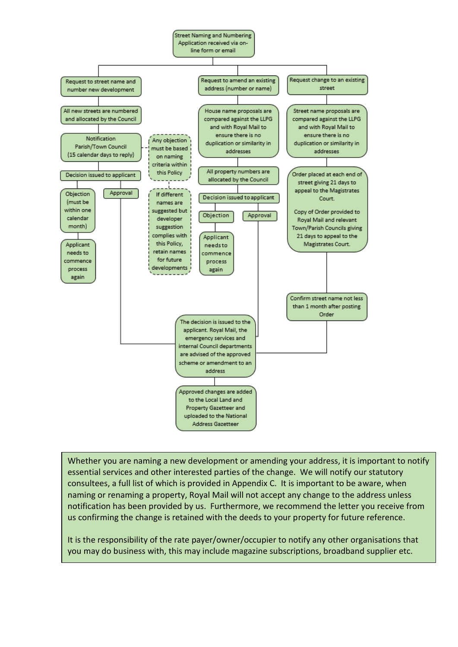

Whether you are naming a new development or amending your address, it is important to notify essential services and other interested parties of the change. We will notify our statutory consultees, a full list of which is provided in Appendix C. It is important to be aware, when naming or renaming a property, Royal Mail will not accept any change to the address unless notification has been provided by us. Furthermore, we recommend the letter you receive from us confirming the change is retained with the deeds to your property for future reference.

It is the responsibility of the rate payer/owner/occupier to notify any other organisations that you may do business with, this may include magazine subscriptions, broadband supplier etc.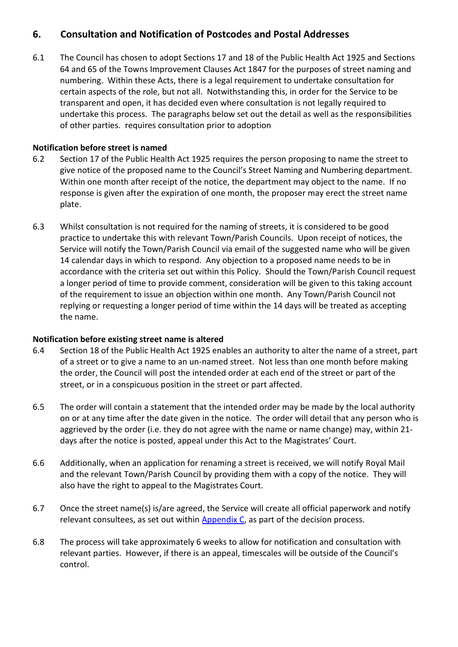## <span id="page-7-0"></span>**6. Consultation and Notification of Postcodes and Postal Addresses**

6.1 The Council has chosen to adopt Sections 17 and 18 of the Public Health Act 1925 and Sections 64 and 65 of the Towns Improvement Clauses Act 1847 for the purposes of street naming and numbering. Within these Acts, there is a legal requirement to undertake consultation for certain aspects of the role, but not all. Notwithstanding this, in order for the Service to be transparent and open, it has decided even where consultation is not legally required to undertake this process. The paragraphs below set out the detail as well as the responsibilities of other parties. requires consultation prior to adoption

#### <span id="page-7-1"></span>**Notification before street is named**

- 6.2 Section 17 of the Public Health Act 1925 requires the person proposing to name the street to give notice of the proposed name to the Council's Street Naming and Numbering department. Within one month after receipt of the notice, the department may object to the name. If no response is given after the expiration of one month, the proposer may erect the street name plate.
- 6.3 Whilst consultation is not required for the naming of streets, it is considered to be good practice to undertake this with relevant Town/Parish Councils. Upon receipt of notices, the Service will notify the Town/Parish Council via email of the suggested name who will be given 14 calendar days in which to respond. Any objection to a proposed name needs to be in accordance with the criteria set out within this Policy. Should the Town/Parish Council request a longer period of time to provide comment, consideration will be given to this taking account of the requirement to issue an objection within one month. Any Town/Parish Council not replying or requesting a longer period of time within the 14 days will be treated as accepting the name.

#### <span id="page-7-2"></span>**Notification before existing street name is altered**

- 6.4 Section 18 of the Public Health Act 1925 enables an authority to alter the name of a street, part of a street or to give a name to an un-named street. Not less than one month before making the order, the Council will post the intended order at each end of the street or part of the street, or in a conspicuous position in the street or part affected.
- 6.5 The order will contain a statement that the intended order may be made by the local authority on or at any time after the date given in the notice. The order will detail that any person who is aggrieved by the order (i.e. they do not agree with the name or name change) may, within 21 days after the notice is posted, appeal under this Act to the Magistrates' Court.
- 6.6 Additionally, when an application for renaming a street is received, we will notify Royal Mail and the relevant Town/Parish Council by providing them with a copy of the notice. They will also have the right to appeal to the Magistrates Court.
- 6.7 Once the street name(s) is/are agreed, the Service will create all official paperwork and notify relevant consultees, as set out within [Appendix C,](#page-27-0) as part of the decision process.
- 6.8 The process will take approximately 6 weeks to allow for notification and consultation with relevant parties. However, if there is an appeal, timescales will be outside of the Council's control.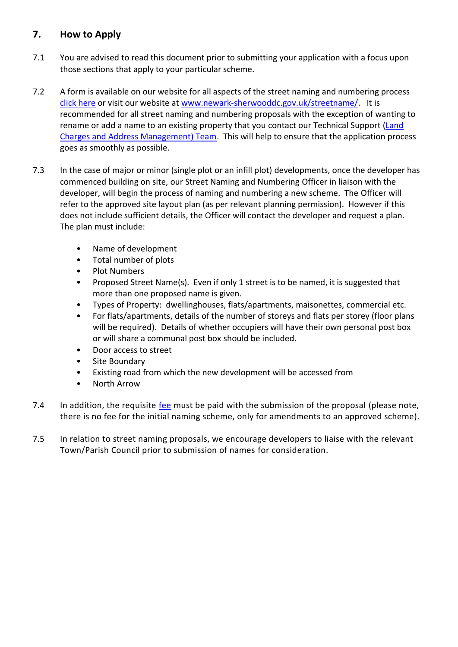## <span id="page-8-0"></span>**7. How to Apply**

- 7.1 You are advised to read this document prior to submitting your application with a focus upon those sections that apply to your particular scheme.
- 7.2 A form is available on our website for all aspects of the street naming and numbering process [click here](https://selfservice.newark-sherwooddc.gov.uk/renderform.aspx?t=40&k=7CD04EB10E5A38E0D2B9E82B6579DB74ECDACB13) or visit our website at [www.newark-sherwooddc.gov.uk/streetname/.](http://www.newark-sherwooddc.gov.uk/streetname/) It is recommended for all street naming and numbering proposals with the exception of wanting to rename or add a name to an existing property that you contact our Technical Support [\(Land](#page-17-1)  [Charges and Address Management\) Team.](#page-17-1) This will help to ensure that the application process goes as smoothly as possible.
- 7.3 In the case of major or minor (single plot or an infill plot) developments, once the developer has commenced building on site, our Street Naming and Numbering Officer in liaison with the developer, will begin the process of naming and numbering a new scheme. The Officer will refer to the approved site layout plan (as per relevant planning permission). However if this does not include sufficient details, the Officer will contact the developer and request a plan. The plan must include:
	- Name of development
	- Total number of plots
	- Plot Numbers
	- Proposed Street Name(s). Even if only 1 street is to be named, it is suggested that more than one proposed name is given.
	- Types of Property: dwellinghouses, flats/apartments, maisonettes, commercial etc.
	- For flats/apartments, details of the number of storeys and flats per storey (floor plans will be required). Details of whether occupiers will have their own personal post box or will share a communal post box should be included.
	- Door access to street
	- Site Boundary
	- Existing road from which the new development will be accessed from
	- North Arrow
- 7.4 In addition, the requisite fee must be paid with the submission of the proposal (please note, there is no fee for the initial naming scheme, only for amendments to an approved scheme).
- 7.5 In relation to street naming proposals, we encourage developers to liaise with the relevant Town/Parish Council prior to submission of names for consideration.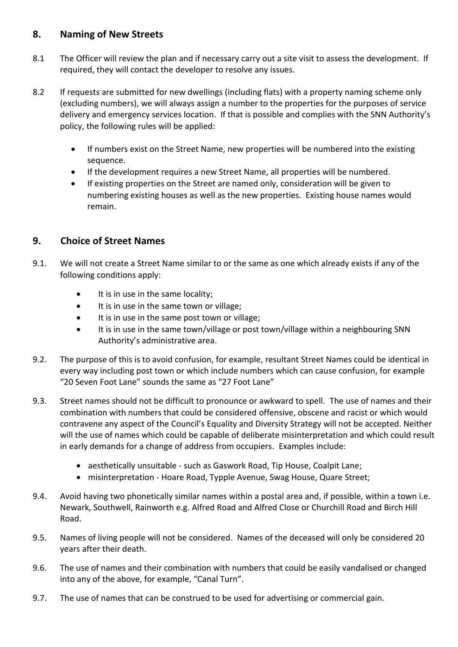## <span id="page-9-0"></span>**8. Naming of New Streets**

- 8.1 The Officer will review the plan and if necessary carry out a site visit to assess the development. If required, they will contact the developer to resolve any issues.
- 8.2 If requests are submitted for new dwellings (including flats) with a property naming scheme only (excluding numbers), we will always assign a number to the properties for the purposes of service delivery and emergency services location. If that is possible and complies with the SNN Authority's policy, the following rules will be applied:
	- If numbers exist on the Street Name, new properties will be numbered into the existing sequence.
	- If the development requires a new Street Name, all properties will be numbered.
	- If existing properties on the Street are named only, consideration will be given to numbering existing houses as well as the new properties. Existing house names would remain.

## <span id="page-9-1"></span>**9. Choice of Street Names**

- 9.1. We will not create a Street Name similar to or the same as one which already exists if any of the following conditions apply:
	- It is in use in the same locality;
	- It is in use in the same town or village;
	- It is in use in the same post town or village;
	- It is in use in the same town/village or post town/village within a neighbouring SNN Authority's administrative area.
- 9.2. The purpose of this is to avoid confusion, for example, resultant Street Names could be identical in every way including post town or which include numbers which can cause confusion, for example "20 Seven Foot Lane" sounds the same as "27 Foot Lane"
- 9.3. Street names should not be difficult to pronounce or awkward to spell. The use of names and their combination with numbers that could be considered offensive, obscene and racist or which would contravene any aspect of the Council's Equality and Diversity Strategy will not be accepted. Neither will the use of names which could be capable of deliberate misinterpretation and which could result in early demands for a change of address from occupiers. Examples include:
	- aesthetically unsuitable such as Gaswork Road, Tip House, Coalpit Lane;
	- misinterpretation Hoare Road, Typple Avenue, Swag House, Quare Street;
- 9.4. Avoid having two phonetically similar names within a postal area and, if possible, within a town i.e. Newark, Southwell, Rainworth e.g. Alfred Road and Alfred Close or Churchill Road and Birch Hill Road.
- 9.5. Names of living people will not be considered. Names of the deceased will only be considered 20 years after their death.
- 9.6. The use of names and their combination with numbers that could be easily vandalised or changed into any of the above, for example, "Canal Turn".
- 9.7. The use of names that can be construed to be used for advertising or commercial gain.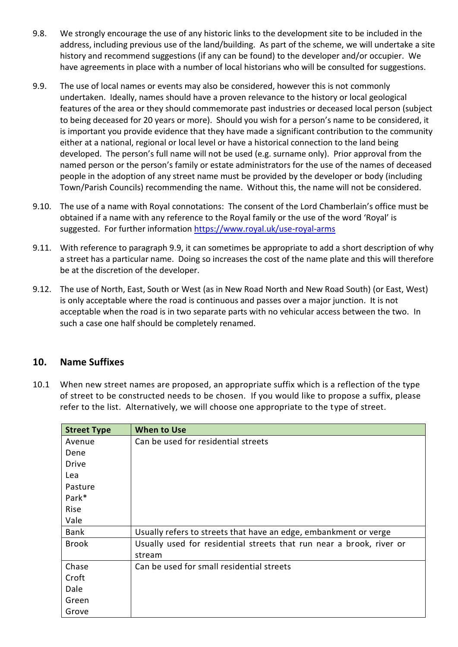- 9.8. We strongly encourage the use of any historic links to the development site to be included in the address, including previous use of the land/building. As part of the scheme, we will undertake a site history and recommend suggestions (if any can be found) to the developer and/or occupier. We have agreements in place with a number of local historians who will be consulted for suggestions.
- 9.9. The use of local names or events may also be considered, however this is not commonly undertaken. Ideally, names should have a proven relevance to the history or local geological features of the area or they should commemorate past industries or deceased local person (subject to being deceased for 20 years or more). Should you wish for a person's name to be considered, it is important you provide evidence that they have made a significant contribution to the community either at a national, regional or local level or have a historical connection to the land being developed. The person's full name will not be used (e.g. surname only). Prior approval from the named person or the person's family or estate administrators for the use of the names of deceased people in the adoption of any street name must be provided by the developer or body (including Town/Parish Councils) recommending the name. Without this, the name will not be considered.
- 9.10. The use of a name with Royal connotations: The consent of the Lord Chamberlain's office must be obtained if a name with any reference to the Royal family or the use of the word 'Royal' is suggested. For further information<https://www.royal.uk/use-royal-arms>
- 9.11. With reference to paragraph 9.9, it can sometimes be appropriate to add a short description of why a street has a particular name. Doing so increases the cost of the name plate and this will therefore be at the discretion of the developer.
- 9.12. The use of North, East, South or West (as in New Road North and New Road South) (or East, West) is only acceptable where the road is continuous and passes over a major junction. It is not acceptable when the road is in two separate parts with no vehicular access between the two. In such a case one half should be completely renamed.

## <span id="page-10-0"></span>**10. Name Suffixes**

10.1 When new street names are proposed, an appropriate suffix which is a reflection of the type of street to be constructed needs to be chosen. If you would like to propose a suffix, please refer to the list. Alternatively, we will choose one appropriate to the type of street.

| <b>Street Type</b> | <b>When to Use</b>                                                   |
|--------------------|----------------------------------------------------------------------|
| Avenue             | Can be used for residential streets                                  |
| Dene               |                                                                      |
| <b>Drive</b>       |                                                                      |
| Lea                |                                                                      |
| Pasture            |                                                                      |
| Park*              |                                                                      |
| Rise               |                                                                      |
| Vale               |                                                                      |
| <b>Bank</b>        | Usually refers to streets that have an edge, embankment or verge     |
| <b>Brook</b>       | Usually used for residential streets that run near a brook, river or |
|                    | stream                                                               |
| Chase              | Can be used for small residential streets                            |
| Croft              |                                                                      |
| Dale               |                                                                      |
| Green              |                                                                      |
| Grove              |                                                                      |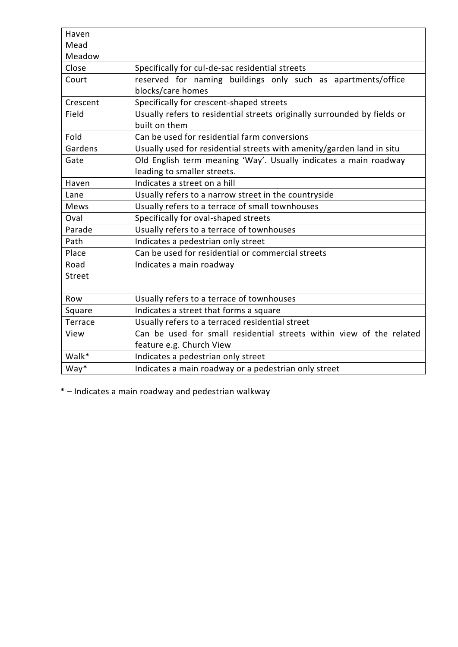| Haven         |                                                                          |
|---------------|--------------------------------------------------------------------------|
| Mead          |                                                                          |
| Meadow        |                                                                          |
| Close         | Specifically for cul-de-sac residential streets                          |
| Court         | reserved for naming buildings only such as apartments/office             |
|               | blocks/care homes                                                        |
| Crescent      | Specifically for crescent-shaped streets                                 |
| Field         | Usually refers to residential streets originally surrounded by fields or |
|               | built on them                                                            |
| Fold          | Can be used for residential farm conversions                             |
| Gardens       | Usually used for residential streets with amenity/garden land in situ    |
| Gate          | Old English term meaning 'Way'. Usually indicates a main roadway         |
|               | leading to smaller streets.                                              |
| Haven         | Indicates a street on a hill                                             |
| Lane          | Usually refers to a narrow street in the countryside                     |
| <b>Mews</b>   | Usually refers to a terrace of small townhouses                          |
| Oval          | Specifically for oval-shaped streets                                     |
| Parade        | Usually refers to a terrace of townhouses                                |
| Path          | Indicates a pedestrian only street                                       |
| Place         | Can be used for residential or commercial streets                        |
| Road          | Indicates a main roadway                                                 |
| <b>Street</b> |                                                                          |
|               |                                                                          |
| Row           | Usually refers to a terrace of townhouses                                |
| Square        | Indicates a street that forms a square                                   |
| Terrace       | Usually refers to a terraced residential street                          |
| View          | Can be used for small residential streets within view of the related     |
|               | feature e.g. Church View                                                 |
| Walk*         | Indicates a pedestrian only street                                       |
| $Way^*$       | Indicates a main roadway or a pedestrian only street                     |

\* – Indicates a main roadway and pedestrian walkway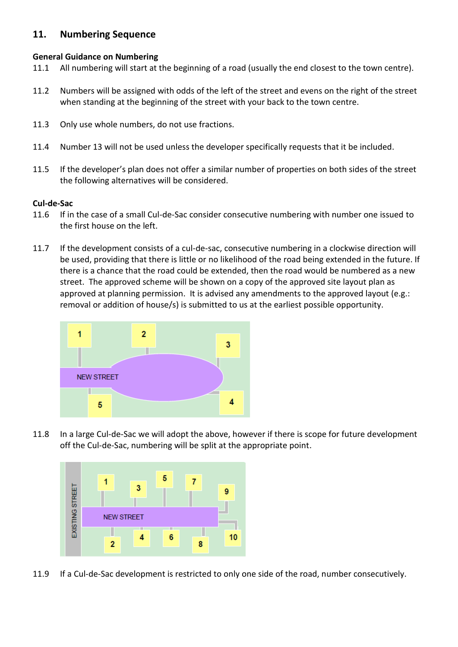### <span id="page-12-0"></span>**11. Numbering Sequence**

#### <span id="page-12-1"></span>**General Guidance on Numbering**

- 11.1 All numbering will start at the beginning of a road (usually the end closest to the town centre).
- 11.2 Numbers will be assigned with odds of the left of the street and evens on the right of the street when standing at the beginning of the street with your back to the town centre.
- 11.3 Only use whole numbers, do not use fractions.
- 11.4 Number 13 will not be used unless the developer specifically requests that it be included.
- 11.5 If the developer's plan does not offer a similar number of properties on both sides of the street the following alternatives will be considered.

#### <span id="page-12-2"></span>**Cul-de-Sac**

- 11.6 If in the case of a small Cul-de-Sac consider consecutive numbering with number one issued to the first house on the left.
- 11.7 If the development consists of a cul-de-sac, consecutive numbering in a clockwise direction will be used, providing that there is little or no likelihood of the road being extended in the future. If there is a chance that the road could be extended, then the road would be numbered as a new street. The approved scheme will be shown on a copy of the approved site layout plan as approved at planning permission. It is advised any amendments to the approved layout (e.g.: removal or addition of house/s) is submitted to us at the earliest possible opportunity.



11.8 In a large Cul-de-Sac we will adopt the above, however if there is scope for future development off the Cul-de-Sac, numbering will be split at the appropriate point.



11.9 If a Cul-de-Sac development is restricted to only one side of the road, number consecutively.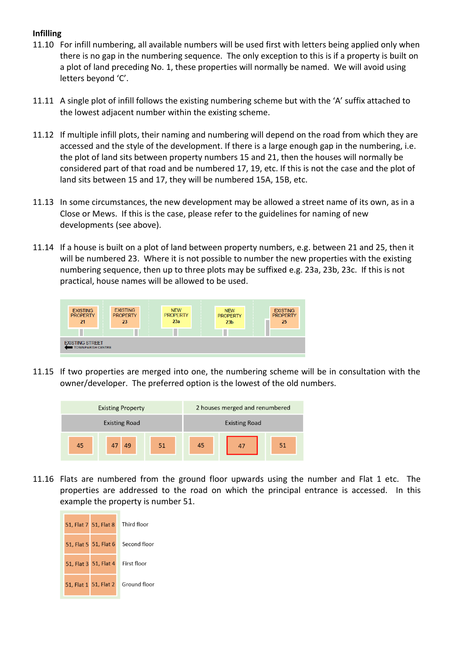#### <span id="page-13-0"></span>**Infilling**

- 11.10 For infill numbering, all available numbers will be used first with letters being applied only when there is no gap in the numbering sequence. The only exception to this is if a property is built on a plot of land preceding No. 1, these properties will normally be named. We will avoid using letters beyond 'C'.
- 11.11 A single plot of infill follows the existing numbering scheme but with the 'A' suffix attached to the lowest adjacent number within the existing scheme.
- 11.12 If multiple infill plots, their naming and numbering will depend on the road from which they are accessed and the style of the development. If there is a large enough gap in the numbering, i.e. the plot of land sits between property numbers 15 and 21, then the houses will normally be considered part of that road and be numbered 17, 19, etc. If this is not the case and the plot of land sits between 15 and 17, they will be numbered 15A, 15B, etc.
- 11.13 In some circumstances, the new development may be allowed a street name of its own, as in a Close or Mews. If this is the case, please refer to the guidelines for naming of new developments (see above).
- 11.14 If a house is built on a plot of land between property numbers, e.g. between 21 and 25, then it will be numbered 23. Where it is not possible to number the new properties with the existing numbering sequence, then up to three plots may be suffixed e.g. 23a, 23b, 23c. If this is not practical, house names will be allowed to be used.



11.15 If two properties are merged into one, the numbering scheme will be in consultation with the owner/developer. The preferred option is the lowest of the old numbers.



11.16 Flats are numbered from the ground floor upwards using the number and Flat 1 etc. The properties are addressed to the road on which the principal entrance is accessed. In this example the property is number 51.

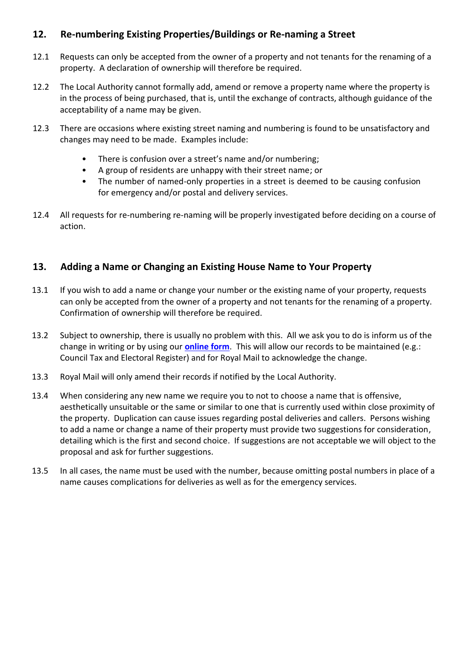## <span id="page-14-0"></span>**12. Re-numbering Existing Properties/Buildings or Re-naming a Street**

- 12.1 Requests can only be accepted from the owner of a property and not tenants for the renaming of a property. A declaration of ownership will therefore be required.
- 12.2 The Local Authority cannot formally add, amend or remove a property name where the property is in the process of being purchased, that is, until the exchange of contracts, although guidance of the acceptability of a name may be given.
- 12.3 There are occasions where existing street naming and numbering is found to be unsatisfactory and changes may need to be made. Examples include:
	- There is confusion over a street's name and/or numbering;
	- A group of residents are unhappy with their street name; or
	- The number of named-only properties in a street is deemed to be causing confusion for emergency and/or postal and delivery services.
- 12.4 All requests for re-numbering re-naming will be properly investigated before deciding on a course of action.

## <span id="page-14-1"></span>**13. Adding a Name or Changing an Existing House Name to Your Property**

- 13.1 If you wish to add a name or change your number or the existing name of your property, requests can only be accepted from the owner of a property and not tenants for the renaming of a property. Confirmation of ownership will therefore be required.
- 13.2 Subject to ownership, there is usually no problem with this. All we ask you to do is inform us of the change in writing or by using our **[online form](https://selfservice.newark-sherwooddc.gov.uk/renderform.aspx?t=40&k=7CD04EB10E5A38E0D2B9E82B6579DB74ECDACB13)**. This will allow our records to be maintained (e.g.: Council Tax and Electoral Register) and for Royal Mail to acknowledge the change.
- 13.3 Royal Mail will only amend their records if notified by the Local Authority.
- 13.4 When considering any new name we require you to not to choose a name that is offensive, aesthetically unsuitable or the same or similar to one that is currently used within close proximity of the property. Duplication can cause issues regarding postal deliveries and callers. Persons wishing to add a name or change a name of their property must provide two suggestions for consideration, detailing which is the first and second choice. If suggestions are not acceptable we will object to the proposal and ask for further suggestions.
- 13.5 In all cases, the name must be used with the number, because omitting postal numbers in place of a name causes complications for deliveries as well as for the emergency services.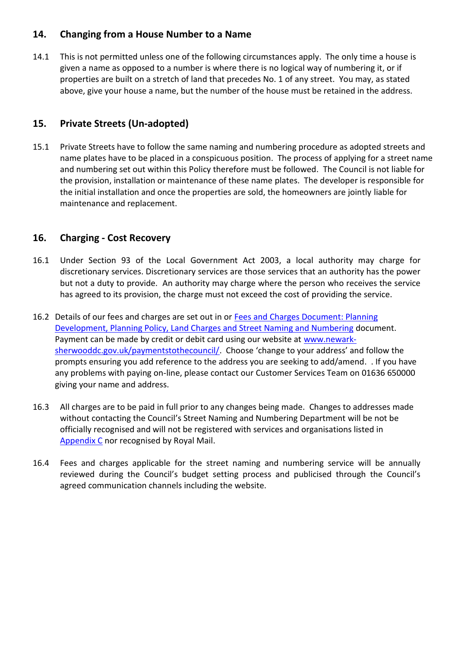## <span id="page-15-0"></span>**14. Changing from a House Number to a Name**

14.1 This is not permitted unless one of the following circumstances apply. The only time a house is given a name as opposed to a number is where there is no logical way of numbering it, or if properties are built on a stretch of land that precedes No. 1 of any street. You may, as stated above, give your house a name, but the number of the house must be retained in the address.

## <span id="page-15-1"></span>**15. Private Streets (Un-adopted)**

15.1 Private Streets have to follow the same naming and numbering procedure as adopted streets and name plates have to be placed in a conspicuous position. The process of applying for a street name and numbering set out within this Policy therefore must be followed. The Council is not liable for the provision, installation or maintenance of these name plates. The developer is responsible for the initial installation and once the properties are sold, the homeowners are jointly liable for maintenance and replacement.

## <span id="page-15-2"></span>**16. Charging - Cost Recovery**

- 16.1 Under Section 93 of the Local Government Act 2003, a local authority may charge for discretionary services. Discretionary services are those services that an authority has the power but not a duty to provide. An authority may charge where the person who receives the service has agreed to its provision, the charge must not exceed the cost of providing the service.
- 16.2 Details of our fees and charges are set out in or Fees and Charges Document: Planning [Development, Planning Policy, Land Charges and Street Naming and Numbering](https://www.newark-sherwooddc.gov.uk/media/newarkandsherwood/imagesandfiles/planningpolicy/pdfs/fees%20and%20charges%20budget%202021-22.pdf) document. Payment can be made by credit or debit card using our website at [www.newark](http://www.newark-sherwooddc.gov.uk/paymentstothecouncil/)[sherwooddc.gov.uk/paymentstothecouncil/.](http://www.newark-sherwooddc.gov.uk/paymentstothecouncil/) Choose 'change to your address' and follow the prompts ensuring you add reference to the address you are seeking to add/amend. . If you have any problems with paying on-line, please contact our Customer Services Team on 01636 650000 giving your name and address.
- 16.3 All charges are to be paid in full prior to any changes being made. Changes to addresses made without contacting the Council's Street Naming and Numbering Department will be not be officially recognised and will not be registered with services and organisations listed in [Appendix C](#page-27-0) nor recognised by Royal Mail.
- 16.4 Fees and charges applicable for the street naming and numbering service will be annually reviewed during the Council's budget setting process and publicised through the Council's agreed communication channels including the website.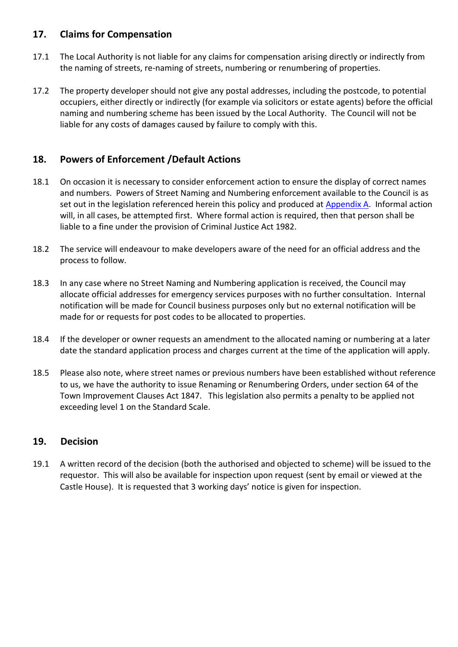## <span id="page-16-0"></span>**17. Claims for Compensation**

- 17.1 The Local Authority is not liable for any claims for compensation arising directly or indirectly from the naming of streets, re-naming of streets, numbering or renumbering of properties.
- 17.2 The property developer should not give any postal addresses, including the postcode, to potential occupiers, either directly or indirectly (for example via solicitors or estate agents) before the official naming and numbering scheme has been issued by the Local Authority. The Council will not be liable for any costs of damages caused by failure to comply with this.

## <span id="page-16-1"></span>**18. Powers of Enforcement /Default Actions**

- 18.1 On occasion it is necessary to consider enforcement action to ensure the display of correct names and numbers. Powers of Street Naming and Numbering enforcement available to the Council is as set out in the legislation referenced herein this policy and produced at [Appendix A.](#page-21-0) Informal action will, in all cases, be attempted first. Where formal action is required, then that person shall be liable to a fine under the provision of Criminal Justice Act 1982.
- 18.2 The service will endeavour to make developers aware of the need for an official address and the process to follow.
- 18.3 In any case where no Street Naming and Numbering application is received, the Council may allocate official addresses for emergency services purposes with no further consultation. Internal notification will be made for Council business purposes only but no external notification will be made for or requests for post codes to be allocated to properties.
- 18.4 If the developer or owner requests an amendment to the allocated naming or numbering at a later date the standard application process and charges current at the time of the application will apply.
- 18.5 Please also note, where street names or previous numbers have been established without reference to us, we have the authority to issue Renaming or Renumbering Orders, under section 64 of the Town Improvement Clauses Act 1847. This legislation also permits a penalty to be applied not exceeding level 1 on the Standard Scale.

#### <span id="page-16-2"></span>**19. Decision**

19.1 A written record of the decision (both the authorised and objected to scheme) will be issued to the requestor. This will also be available for inspection upon request (sent by email or viewed at the Castle House). It is requested that 3 working days' notice is given for inspection.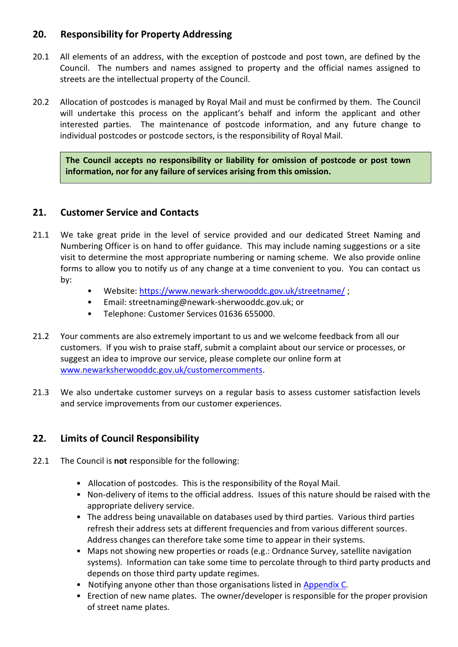## <span id="page-17-0"></span>**20. Responsibility for Property Addressing**

- 20.1 All elements of an address, with the exception of postcode and post town, are defined by the Council. The numbers and names assigned to property and the official names assigned to streets are the intellectual property of the Council.
- 20.2 Allocation of postcodes is managed by Royal Mail and must be confirmed by them. The Council will undertake this process on the applicant's behalf and inform the applicant and other interested parties. The maintenance of postcode information, and any future change to individual postcodes or postcode sectors, is the responsibility of Royal Mail.

**The Council accepts no responsibility or liability for omission of postcode or post town information, nor for any failure of services arising from this omission.**

## <span id="page-17-1"></span>**21. Customer Service and Contacts**

- 21.1 We take great pride in the level of service provided and our dedicated Street Naming and Numbering Officer is on hand to offer guidance. This may include naming suggestions or a site visit to determine the most appropriate numbering or naming scheme. We also provide online forms to allow you to notify us of any change at a time convenient to you. You can contact us by:
	- Website:<https://www.newark-sherwooddc.gov.uk/streetname/> ;
	- Email: streetnaming@newark-sherwooddc.gov.uk; or
	- Telephone: Customer Services 01636 655000.
- 21.2 Your comments are also extremely important to us and we welcome feedback from all our customers. If you wish to praise staff, submit a complaint about our service or processes, or suggest an idea to improve our service, please complete our online form at [www.newarksherwooddc.gov.uk/customercomments.](http://www.newarksherwooddc.gov.uk/customercomments)
- 21.3 We also undertake customer surveys on a regular basis to assess customer satisfaction levels and service improvements from our customer experiences.

## <span id="page-17-2"></span>**22. Limits of Council Responsibility**

- 22.1 The Council is **not** responsible for the following:
	- Allocation of postcodes. This is the responsibility of the Royal Mail.
	- Non-delivery of items to the official address. Issues of this nature should be raised with the appropriate delivery service.
	- The address being unavailable on databases used by third parties. Various third parties refresh their address sets at different frequencies and from various different sources. Address changes can therefore take some time to appear in their systems.
	- Maps not showing new properties or roads (e.g.: Ordnance Survey, satellite navigation systems). Information can take some time to percolate through to third party products and depends on those third party update regimes.
	- Notifying anyone other than those organisations listed in [Appendix C.](#page-27-0)
	- Erection of new name plates. The owner/developer is responsible for the proper provision of street name plates.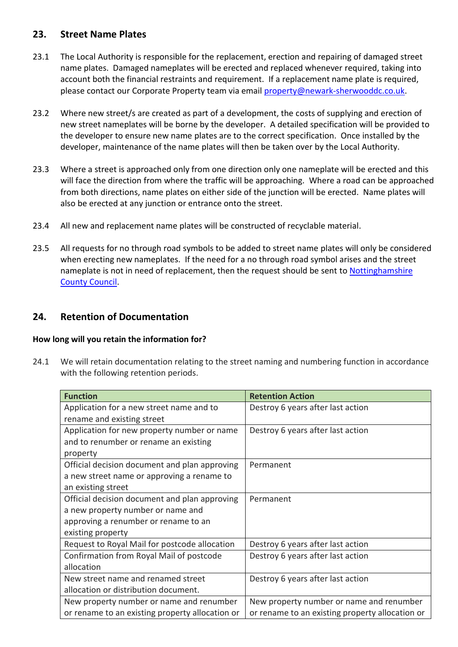## <span id="page-18-0"></span>**23. Street Name Plates**

- 23.1 The Local Authority is responsible for the replacement, erection and repairing of damaged street name plates. Damaged nameplates will be erected and replaced whenever required, taking into account both the financial restraints and requirement. If a replacement name plate is required, please contact our Corporate Property team via email [property@newark-sherwooddc.co.uk.](mailto:property@newark-sherwooddc.co.uk)
- 23.2 Where new street/s are created as part of a development, the costs of supplying and erection of new street nameplates will be borne by the developer. A detailed specification will be provided to the developer to ensure new name plates are to the correct specification. Once installed by the developer, maintenance of the name plates will then be taken over by the Local Authority.
- 23.3 Where a street is approached only from one direction only one nameplate will be erected and this will face the direction from where the traffic will be approaching. Where a road can be approached from both directions, name plates on either side of the junction will be erected. Name plates will also be erected at any junction or entrance onto the street.
- 23.4 All new and replacement name plates will be constructed of recyclable material.
- 23.5 All requests for no through road symbols to be added to street name plates will only be considered when erecting new nameplates. If the need for a no through road symbol arises and the street nameplate is not in need of replacement, then the request should be sent to [Nottinghamshire](https://www.nottinghamshire.gov.uk/transport/roads/report-damaged-structures-furniture-or-signs) [County Council.](https://www.nottinghamshire.gov.uk/transport/roads/report-damaged-structures-furniture-or-signs)

#### <span id="page-18-1"></span>**24. Retention of Documentation**

#### <span id="page-18-2"></span>**How long will you retain the information for?**

24.1 We will retain documentation relating to the street naming and numbering function in accordance with the following retention periods.

| <b>Function</b>                                 | <b>Retention Action</b>                         |
|-------------------------------------------------|-------------------------------------------------|
| Application for a new street name and to        | Destroy 6 years after last action               |
| rename and existing street                      |                                                 |
| Application for new property number or name     | Destroy 6 years after last action               |
| and to renumber or rename an existing           |                                                 |
| property                                        |                                                 |
| Official decision document and plan approving   | Permanent                                       |
| a new street name or approving a rename to      |                                                 |
| an existing street                              |                                                 |
| Official decision document and plan approving   | Permanent                                       |
| a new property number or name and               |                                                 |
| approving a renumber or rename to an            |                                                 |
| existing property                               |                                                 |
| Request to Royal Mail for postcode allocation   | Destroy 6 years after last action               |
| Confirmation from Royal Mail of postcode        | Destroy 6 years after last action               |
| allocation                                      |                                                 |
| New street name and renamed street              | Destroy 6 years after last action               |
| allocation or distribution document.            |                                                 |
| New property number or name and renumber        | New property number or name and renumber        |
| or rename to an existing property allocation or | or rename to an existing property allocation or |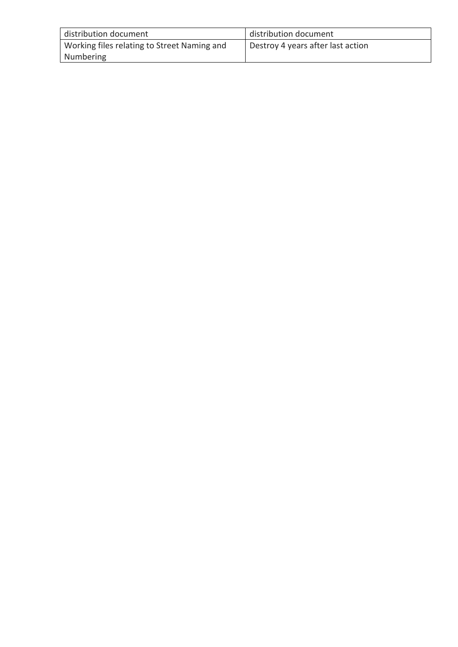| distribution document                       | distribution document             |
|---------------------------------------------|-----------------------------------|
| Working files relating to Street Naming and | Destroy 4 years after last action |
| Numbering                                   |                                   |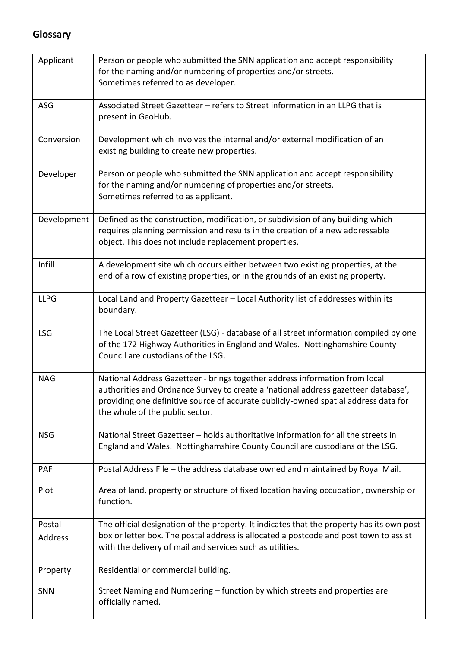## <span id="page-20-0"></span>**Glossary**

| Applicant         | Person or people who submitted the SNN application and accept responsibility<br>for the naming and/or numbering of properties and/or streets.<br>Sometimes referred to as developer.                                                                                                        |
|-------------------|---------------------------------------------------------------------------------------------------------------------------------------------------------------------------------------------------------------------------------------------------------------------------------------------|
| ASG               | Associated Street Gazetteer - refers to Street information in an LLPG that is<br>present in GeoHub.                                                                                                                                                                                         |
| Conversion        | Development which involves the internal and/or external modification of an<br>existing building to create new properties.                                                                                                                                                                   |
| Developer         | Person or people who submitted the SNN application and accept responsibility<br>for the naming and/or numbering of properties and/or streets.<br>Sometimes referred to as applicant.                                                                                                        |
| Development       | Defined as the construction, modification, or subdivision of any building which<br>requires planning permission and results in the creation of a new addressable<br>object. This does not include replacement properties.                                                                   |
| Infill            | A development site which occurs either between two existing properties, at the<br>end of a row of existing properties, or in the grounds of an existing property.                                                                                                                           |
| <b>LLPG</b>       | Local Land and Property Gazetteer - Local Authority list of addresses within its<br>boundary.                                                                                                                                                                                               |
| <b>LSG</b>        | The Local Street Gazetteer (LSG) - database of all street information compiled by one<br>of the 172 Highway Authorities in England and Wales. Nottinghamshire County<br>Council are custodians of the LSG.                                                                                  |
| <b>NAG</b>        | National Address Gazetteer - brings together address information from local<br>authorities and Ordnance Survey to create a 'national address gazetteer database',<br>providing one definitive source of accurate publicly-owned spatial address data for<br>the whole of the public sector. |
| <b>NSG</b>        | National Street Gazetteer - holds authoritative information for all the streets in<br>England and Wales. Nottinghamshire County Council are custodians of the LSG.                                                                                                                          |
| <b>PAF</b>        | Postal Address File - the address database owned and maintained by Royal Mail.                                                                                                                                                                                                              |
| Plot              | Area of land, property or structure of fixed location having occupation, ownership or<br>function.                                                                                                                                                                                          |
| Postal<br>Address | The official designation of the property. It indicates that the property has its own post<br>box or letter box. The postal address is allocated a postcode and post town to assist<br>with the delivery of mail and services such as utilities.                                             |
| Property          | Residential or commercial building.                                                                                                                                                                                                                                                         |
| SNN               | Street Naming and Numbering - function by which streets and properties are<br>officially named.                                                                                                                                                                                             |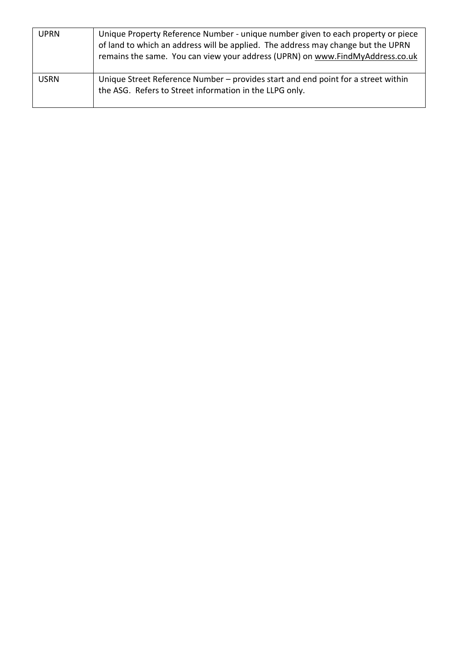<span id="page-21-0"></span>

| <b>UPRN</b> | Unique Property Reference Number - unique number given to each property or piece<br>of land to which an address will be applied. The address may change but the UPRN<br>remains the same. You can view your address (UPRN) on www.FindMyAddress.co.uk |
|-------------|-------------------------------------------------------------------------------------------------------------------------------------------------------------------------------------------------------------------------------------------------------|
| <b>USRN</b> | Unique Street Reference Number – provides start and end point for a street within<br>the ASG. Refers to Street information in the LLPG only.                                                                                                          |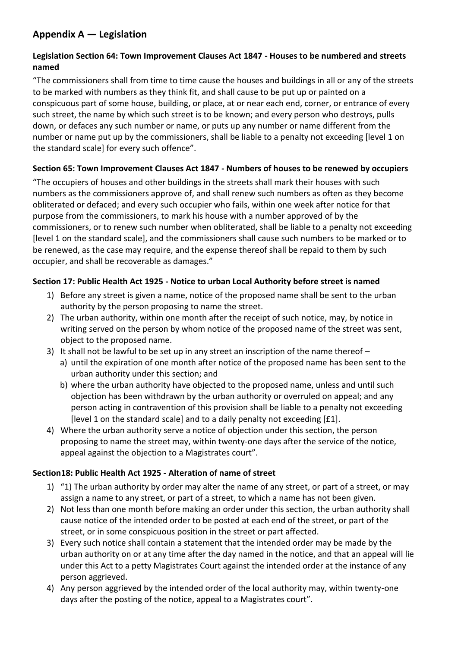## <span id="page-22-0"></span>**Appendix A — Legislation**

#### <span id="page-22-1"></span>**Legislation Section 64: Town Improvement Clauses Act 1847 - Houses to be numbered and streets named**

"The commissioners shall from time to time cause the houses and buildings in all or any of the streets to be marked with numbers as they think fit, and shall cause to be put up or painted on a conspicuous part of some house, building, or place, at or near each end, corner, or entrance of every such street, the name by which such street is to be known; and every person who destroys, pulls down, or defaces any such number or name, or puts up any number or name different from the number or name put up by the commissioners, shall be liable to a penalty not exceeding [level 1 on the standard scale] for every such offence".

#### <span id="page-22-2"></span>**Section 65: Town Improvement Clauses Act 1847 - Numbers of houses to be renewed by occupiers**

"The occupiers of houses and other buildings in the streets shall mark their houses with such numbers as the commissioners approve of, and shall renew such numbers as often as they become obliterated or defaced; and every such occupier who fails, within one week after notice for that purpose from the commissioners, to mark his house with a number approved of by the commissioners, or to renew such number when obliterated, shall be liable to a penalty not exceeding [level 1 on the standard scale], and the commissioners shall cause such numbers to be marked or to be renewed, as the case may require, and the expense thereof shall be repaid to them by such occupier, and shall be recoverable as damages."

#### <span id="page-22-3"></span>**Section 17: Public Health Act 1925 - Notice to urban Local Authority before street is named**

- 1) Before any street is given a name, notice of the proposed name shall be sent to the urban authority by the person proposing to name the street.
- 2) The urban authority, within one month after the receipt of such notice, may, by notice in writing served on the person by whom notice of the proposed name of the street was sent, object to the proposed name.
- 3) It shall not be lawful to be set up in any street an inscription of the name thereof
	- a) until the expiration of one month after notice of the proposed name has been sent to the urban authority under this section; and
	- b) where the urban authority have objected to the proposed name, unless and until such objection has been withdrawn by the urban authority or overruled on appeal; and any person acting in contravention of this provision shall be liable to a penalty not exceeding [level 1 on the standard scale] and to a daily penalty not exceeding [£1].
- 4) Where the urban authority serve a notice of objection under this section, the person proposing to name the street may, within twenty-one days after the service of the notice, appeal against the objection to a Magistrates court".

#### <span id="page-22-4"></span>**Section18: Public Health Act 1925 - Alteration of name of street**

- 1) "1) The urban authority by order may alter the name of any street, or part of a street, or may assign a name to any street, or part of a street, to which a name has not been given.
- 2) Not less than one month before making an order under this section, the urban authority shall cause notice of the intended order to be posted at each end of the street, or part of the street, or in some conspicuous position in the street or part affected.
- 3) Every such notice shall contain a statement that the intended order may be made by the urban authority on or at any time after the day named in the notice, and that an appeal will lie under this Act to a petty Magistrates Court against the intended order at the instance of any person aggrieved.
- 4) Any person aggrieved by the intended order of the local authority may, within twenty-one days after the posting of the notice, appeal to a Magistrates court".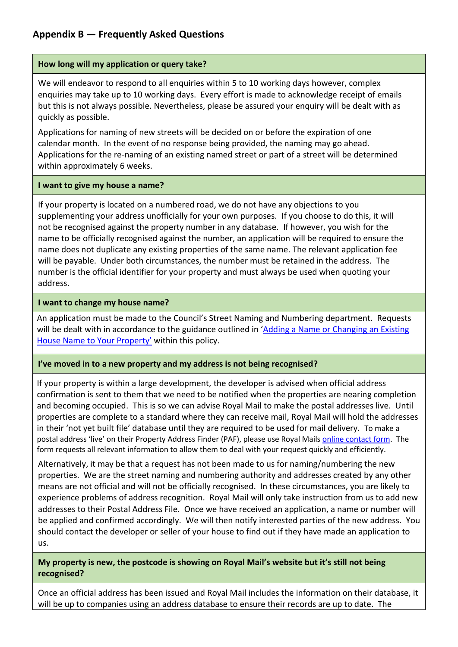## <span id="page-23-0"></span>**Appendix B — Frequently Asked Questions**

#### **How long will my application or query take?**

We will endeavor to respond to all enquiries within 5 to 10 working days however, complex enquiries may take up to 10 working days. Every effort is made to acknowledge receipt of emails but this is not always possible. Nevertheless, please be assured your enquiry will be dealt with as quickly as possible.

Applications for naming of new streets will be decided on or before the expiration of one calendar month. In the event of no response being provided, the naming may go ahead. Applications for the re-naming of an existing named street or part of a street will be determined within approximately 6 weeks.

#### **I want to give my house a name?**

If your property is located on a numbered road, we do not have any objections to you supplementing your address unofficially for your own purposes. If you choose to do this, it will not be recognised against the property number in any database. If however, you wish for the name to be officially recognised against the number, an application will be required to ensure the name does not duplicate any existing properties of the same name. The relevant application fee will be payable. Under both circumstances, the number must be retained in the address. The number is the official identifier for your property and must always be used when quoting your address.

#### **I want to change my house name?**

An application must be made to the Council's Street Naming and Numbering department. Requests will be dealt with in accordance to the guidance outlined in 'Adding a Name or Changing an Existing [House Name to Your Property'](#page-14-1) within this policy.

#### **I've moved in to a new property and my address is not being recognised?**

If your property is within a large development, the developer is advised when official address confirmation is sent to them that we need to be notified when the properties are nearing completion and becoming occupied. This is so we can advise Royal Mail to make the postal addresses live. Until properties are complete to a standard where they can receive mail, Royal Mail will hold the addresses in their 'not yet built file' database until they are required to be used for mail delivery. To make a postal address 'live' on their Property Address Finder (PAF), please use Royal Mails [online contact form.](https://business.help.royalmail.com/app/webforms/addressdevelopment/track/AvNXaQqODv8S~VKoGoEe~yJpNc0qIi75Mv8P~zj~PP~G) The form requests all relevant information to allow them to deal with your request quickly and efficiently.

Alternatively, it may be that a request has not been made to us for naming/numbering the new properties. We are the street naming and numbering authority and addresses created by any other means are not official and will not be officially recognised. In these circumstances, you are likely to experience problems of address recognition. Royal Mail will only take instruction from us to add new addresses to their Postal Address File. Once we have received an application, a name or number will be applied and confirmed accordingly. We will then notify interested parties of the new address. You should contact the developer or seller of your house to find out if they have made an application to us.

#### **My property is new, the postcode is showing on Royal Mail's website but it's still not being recognised?**

Once an official address has been issued and Royal Mail includes the information on their database, it will be up to companies using an address database to ensure their records are up to date. The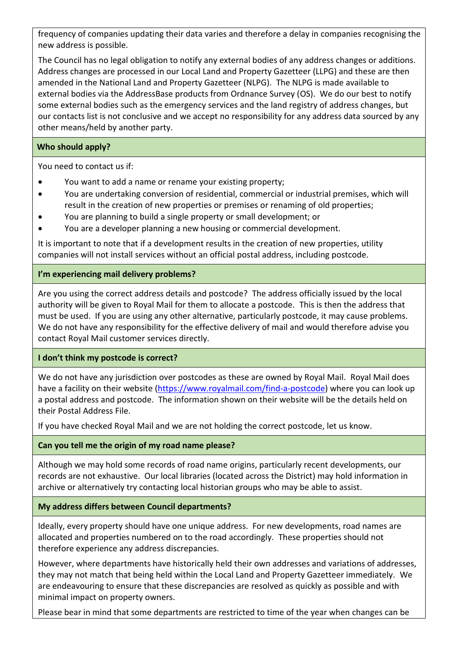frequency of companies updating their data varies and therefore a delay in companies recognising the new address is possible.

The Council has no legal obligation to notify any external bodies of any address changes or additions. Address changes are processed in our Local Land and Property Gazetteer (LLPG) and these are then amended in the National Land and Property Gazetteer (NLPG). The NLPG is made available to external bodies via the AddressBase products from Ordnance Survey (OS). We do our best to notify some external bodies such as the emergency services and the land registry of address changes, but our contacts list is not conclusive and we accept no responsibility for any address data sourced by any other means/held by another party.

#### **Who should apply?**

You need to contact us if:

- You want to add a name or rename your existing property;
- You are undertaking conversion of residential, commercial or industrial premises, which will result in the creation of new properties or premises or renaming of old properties;
- You are planning to build a single property or small development; or
- You are a developer planning a new housing or commercial development.

It is important to note that if a development results in the creation of new properties, utility companies will not install services without an official postal address, including postcode.

#### **I'm experiencing mail delivery problems?**

Are you using the correct address details and postcode? The address officially issued by the local authority will be given to Royal Mail for them to allocate a postcode. This is then the address that must be used. If you are using any other alternative, particularly postcode, it may cause problems. We do not have any responsibility for the effective delivery of mail and would therefore advise you contact Royal Mail customer services directly.

#### **I don't think my postcode is correct?**

We do not have any jurisdiction over postcodes as these are owned by Royal Mail. Royal Mail does have a facility on their website [\(https://www.royalmail.com/find-a-postcode\)](https://www.royalmail.com/find-a-postcode) where you can look up a postal address and postcode. The information shown on their website will be the details held on their Postal Address File.

If you have checked Royal Mail and we are not holding the correct postcode, let us know.

#### **Can you tell me the origin of my road name please?**

Although we may hold some records of road name origins, particularly recent developments, our records are not exhaustive. Our local libraries (located across the District) may hold information in archive or alternatively try contacting local historian groups who may be able to assist.

#### **My address differs between Council departments?**

Ideally, every property should have one unique address. For new developments, road names are allocated and properties numbered on to the road accordingly. These properties should not therefore experience any address discrepancies.

However, where departments have historically held their own addresses and variations of addresses, they may not match that being held within the Local Land and Property Gazetteer immediately. We are endeavouring to ensure that these discrepancies are resolved as quickly as possible and with minimal impact on property owners.

Please bear in mind that some departments are restricted to time of the year when changes can be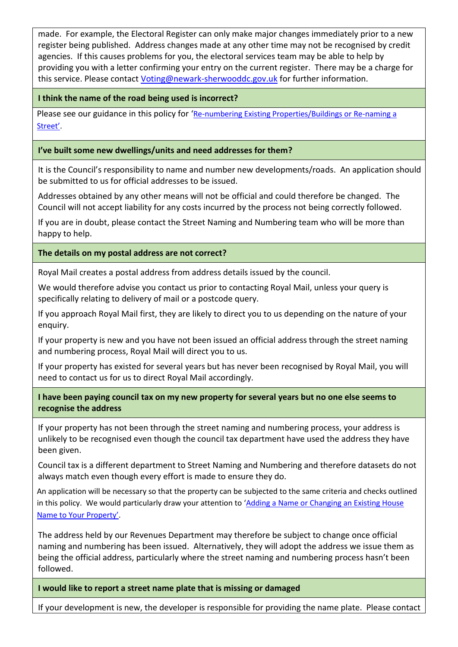made. For example, the Electoral Register can only make major changes immediately prior to a new register being published. Address changes made at any other time may not be recognised by credit agencies. If this causes problems for you, the electoral services team may be able to help by providing you with a letter confirming your entry on the current register. There may be a charge for this service. Please contact [Voting@newark-sherwooddc.gov.uk](mailto:Voting@newark-sherwooddc.gov.uk) for further information.

#### **I think the name of the road being used is incorrect?**

Please see our guidance in this policy for '[Re-numbering Existing Properties/Buildings or Re-naming a](#page-14-0)  [Street'](#page-14-0).

#### **I've built some new dwellings/units and need addresses for them?**

It is the Council's responsibility to name and number new developments/roads. An application should be submitted to us for official addresses to be issued.

Addresses obtained by any other means will not be official and could therefore be changed. The Council will not accept liability for any costs incurred by the process not being correctly followed.

If you are in doubt, please contact the Street Naming and Numbering team who will be more than happy to help.

#### **The details on my postal address are not correct?**

Royal Mail creates a postal address from address details issued by the council.

We would therefore advise you contact us prior to contacting Royal Mail, unless your query is specifically relating to delivery of mail or a postcode query.

If you approach Royal Mail first, they are likely to direct you to us depending on the nature of your enquiry.

If your property is new and you have not been issued an official address through the street naming and numbering process, Royal Mail will direct you to us.

If your property has existed for several years but has never been recognised by Royal Mail, you will need to contact us for us to direct Royal Mail accordingly.

**I have been paying council tax on my new property for several years but no one else seems to recognise the address**

If your property has not been through the street naming and numbering process, your address is unlikely to be recognised even though the council tax department have used the address they have been given.

Council tax is a different department to Street Naming and Numbering and therefore datasets do not always match even though every effort is made to ensure they do.

An application will be necessary so that the property can be subjected to the same criteria and checks outlined in this policy. We would particularly draw your attention to 'Adding a Name or Changing an Existing House [Name to Your Property'](#page-14-1).

The address held by our Revenues Department may therefore be subject to change once official naming and numbering has been issued. Alternatively, they will adopt the address we issue them as being the official address, particularly where the street naming and numbering process hasn't been followed.

#### **I would like to report a street name plate that is missing or damaged**

If your development is new, the developer is responsible for providing the name plate. Please contact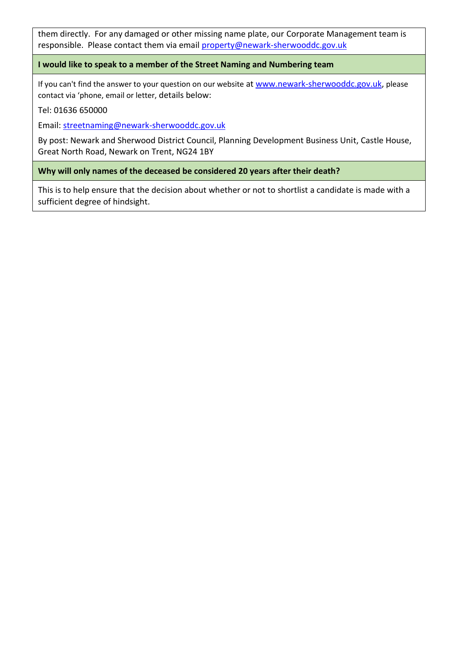them directly. For any damaged or other missing name plate, our Corporate Management team is responsible. Please contact them via email [property@newark-sherwooddc.gov.uk](mailto:property@newark-sherwooddc.gov.uk)

**I would like to speak to a member of the Street Naming and Numbering team**

If you can't find the answer to your question on our website at [www.newark-sherwooddc.gov.uk,](http://www.newark-sherwooddc.gov.uk/) please contact via 'phone, email or letter, details below:

Tel: 01636 650000

Email: [streetnaming@newark-sherwooddc.gov.uk](mailto:streetnaming@newark-sherwooddc.gov.uk)

By post: Newark and Sherwood District Council, Planning Development Business Unit, Castle House, Great North Road, Newark on Trent, NG24 1BY

**Why will only names of the deceased be considered 20 years after their death?**

This is to help ensure that the decision about whether or not to shortlist a candidate is made with a sufficient degree of hindsight.